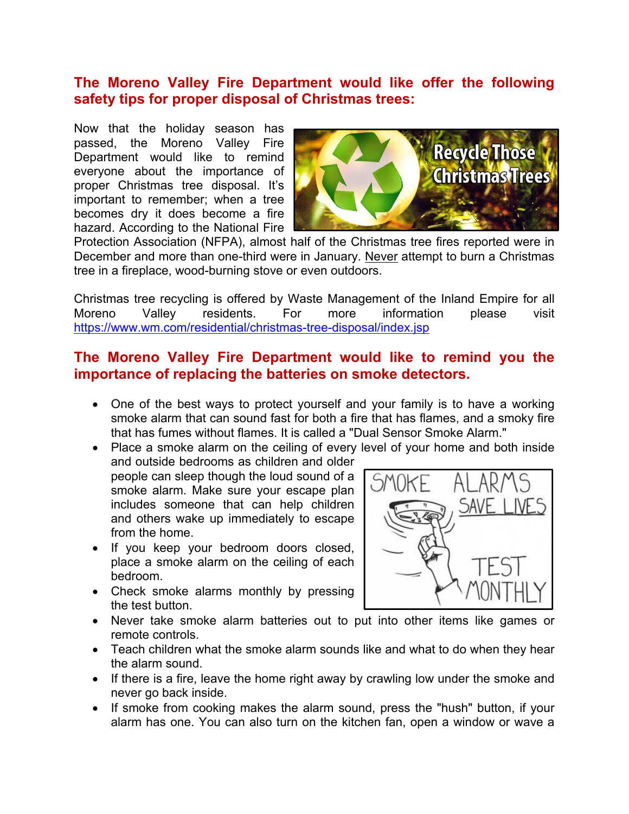# **The Moreno Valley Fire Department would like offer the following safety tips for proper disposal of Christmas trees:**

Now that the holiday season has passed, the Moreno Valley Fire Department would like to remind everyone about the importance of proper Christmas tree disposal. It's important to remember; when a tree becomes dry it does become a fire hazard. According to the National Fire



Protection Association (NFPA), almost half of the Christmas tree fires reported were in December and more than one-third were in January. Never attempt to burn a Christmas tree in a fireplace, wood-burning stove or even outdoors.

Christmas tree recycling is offered by Waste Management of the Inland Empire for all Moreno Valley residents. For more information please visit https://www.wm.com/residential/christmas-tree-disposal/index.jsp

# **The Moreno Valley Fire Department would like to remind you the importance of replacing the batteries on smoke detectors.**

- One of the best ways to protect yourself and your family is to have a working smoke alarm that can sound fast for both a fire that has flames, and a smoky fire that has fumes without flames. It is called a "Dual Sensor Smoke Alarm."
- Place a smoke alarm on the ceiling of every level of your home and both inside and outside bedrooms as children and older people can sleep though the loud sound of a smoke alarm. Make sure your escape plan includes someone that can help children and others wake up immediately to escape from the home.
	- If you keep your bedroom doors closed, place a smoke alarm on the ceiling of each bedroom.
	- Check smoke alarms monthly by pressing the test button.



- Never take smoke alarm batteries out to put into other items like games or remote controls.
- Teach children what the smoke alarm sounds like and what to do when they hear the alarm sound.
- If there is a fire, leave the home right away by crawling low under the smoke and never go back inside.
- If smoke from cooking makes the alarm sound, press the "hush" button, if your alarm has one. You can also turn on the kitchen fan, open a window or wave a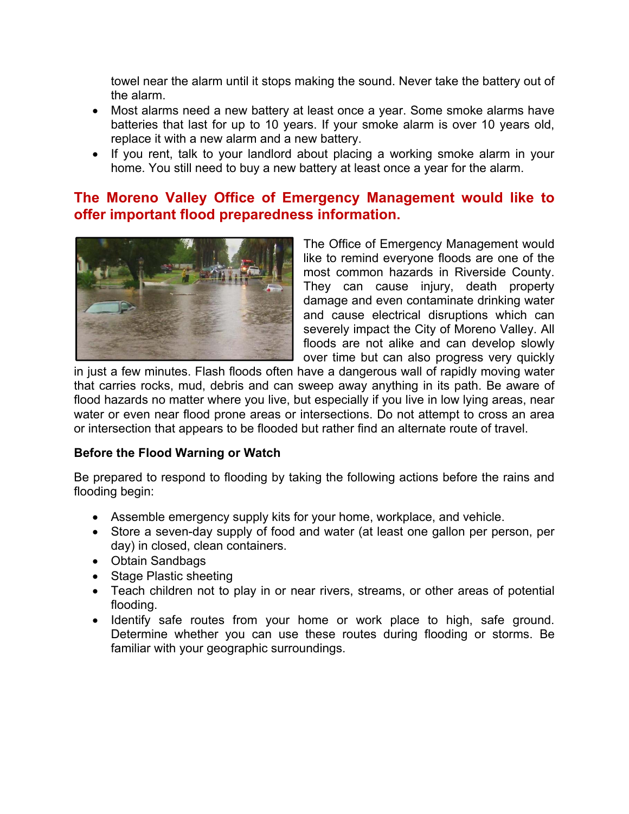towel near the alarm until it stops making the sound. Never take the battery out of the alarm.

- Most alarms need a new battery at least once a year. Some smoke alarms have batteries that last for up to 10 years. If your smoke alarm is over 10 years old, replace it with a new alarm and a new battery.
- If you rent, talk to your landlord about placing a working smoke alarm in your home. You still need to buy a new battery at least once a year for the alarm.

## **The Moreno Valley Office of Emergency Management would like to offer important flood preparedness information.**



The Office of Emergency Management would like to remind everyone floods are one of the most common hazards in Riverside County. They can cause injury, death property damage and even contaminate drinking water and cause electrical disruptions which can severely impact the City of Moreno Valley. All floods are not alike and can develop slowly over time but can also progress very quickly

in just a few minutes. Flash floods often have a dangerous wall of rapidly moving water that carries rocks, mud, debris and can sweep away anything in its path. Be aware of flood hazards no matter where you live, but especially if you live in low lying areas, near water or even near flood prone areas or intersections. Do not attempt to cross an area or intersection that appears to be flooded but rather find an alternate route of travel.

#### **Before the Flood Warning or Watch**

Be prepared to respond to flooding by taking the following actions before the rains and flooding begin:

- Assemble emergency supply kits for your home, workplace, and vehicle.
- Store a seven-day supply of food and water (at least one gallon per person, per day) in closed, clean containers.
- Obtain Sandbags
- Stage Plastic sheeting
- Teach children not to play in or near rivers, streams, or other areas of potential flooding.
- Identify safe routes from your home or work place to high, safe ground. Determine whether you can use these routes during flooding or storms. Be familiar with your geographic surroundings.